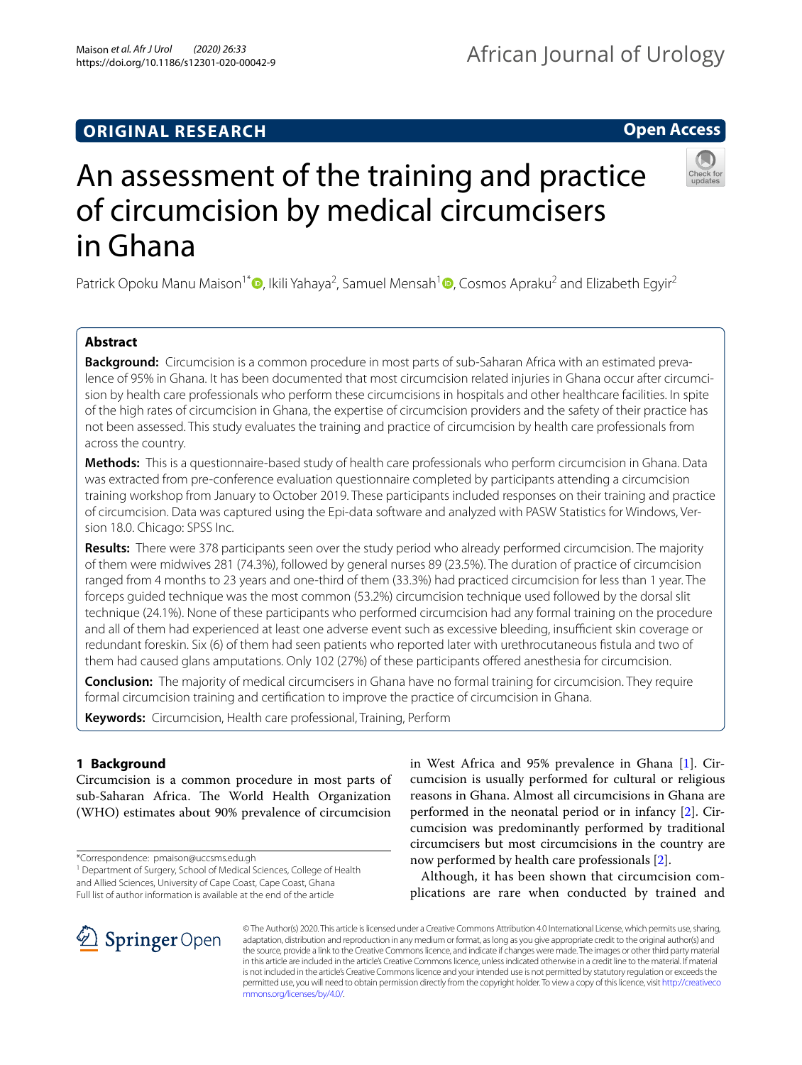## **ORIGINAL RESEARCH**

## **Open Access**



# An assessment of the training and practice of circumcision by medical circumcisers in Ghana

Patrick Opoku Manu Maison<sup>1\*</sup>®[,](http://orcid.org/0000-0001-8327-8929) Ikili Yahaya<sup>2</sup>, Samuel Mensah<sup>[1](http://orcid.org/0000-0002-0835-5450)</sup>®, Cosmos Apraku<sup>2</sup> and Elizabeth Egyir<sup>2</sup>

## **Abstract**

**Background:** Circumcision is a common procedure in most parts of sub-Saharan Africa with an estimated prevalence of 95% in Ghana. It has been documented that most circumcision related injuries in Ghana occur after circumcision by health care professionals who perform these circumcisions in hospitals and other healthcare facilities. In spite of the high rates of circumcision in Ghana, the expertise of circumcision providers and the safety of their practice has not been assessed. This study evaluates the training and practice of circumcision by health care professionals from across the country.

**Methods:** This is a questionnaire-based study of health care professionals who perform circumcision in Ghana. Data was extracted from pre-conference evaluation questionnaire completed by participants attending a circumcision training workshop from January to October 2019. These participants included responses on their training and practice of circumcision. Data was captured using the Epi-data software and analyzed with PASW Statistics for Windows, Version 18.0. Chicago: SPSS Inc.

**Results:** There were 378 participants seen over the study period who already performed circumcision. The majority of them were midwives 281 (74.3%), followed by general nurses 89 (23.5%). The duration of practice of circumcision ranged from 4 months to 23 years and one-third of them (33.3%) had practiced circumcision for less than 1 year. The forceps guided technique was the most common (53.2%) circumcision technique used followed by the dorsal slit technique (24.1%). None of these participants who performed circumcision had any formal training on the procedure and all of them had experienced at least one adverse event such as excessive bleeding, insufficient skin coverage or redundant foreskin. Six (6) of them had seen patients who reported later with urethrocutaneous fstula and two of them had caused glans amputations. Only 102 (27%) of these participants offered anesthesia for circumcision.

**Conclusion:** The majority of medical circumcisers in Ghana have no formal training for circumcision. They require formal circumcision training and certifcation to improve the practice of circumcision in Ghana.

**Keywords:** Circumcision, Health care professional, Training, Perform

## **1 Background**

Circumcision is a common procedure in most parts of sub-Saharan Africa. The World Health Organization (WHO) estimates about 90% prevalence of circumcision

\*Correspondence: pmaison@uccsms.edu.gh

in West Africa and 95% prevalence in Ghana [[1](#page-3-0)]. Circumcision is usually performed for cultural or religious reasons in Ghana. Almost all circumcisions in Ghana are performed in the neonatal period or in infancy [\[2](#page-3-1)]. Circumcision was predominantly performed by traditional circumcisers but most circumcisions in the country are now performed by health care professionals [\[2](#page-3-1)].

Although, it has been shown that circumcision complications are rare when conducted by trained and



© The Author(s) 2020. This article is licensed under a Creative Commons Attribution 4.0 International License, which permits use, sharing, adaptation, distribution and reproduction in any medium or format, as long as you give appropriate credit to the original author(s) and the source, provide a link to the Creative Commons licence, and indicate if changes were made. The images or other third party material in this article are included in the article's Creative Commons licence, unless indicated otherwise in a credit line to the material. If material is not included in the article's Creative Commons licence and your intended use is not permitted by statutory regulation or exceeds the permitted use, you will need to obtain permission directly from the copyright holder. To view a copy of this licence, visit [http://creativeco](http://creativecommons.org/licenses/by/4.0/) [mmons.org/licenses/by/4.0/.](http://creativecommons.org/licenses/by/4.0/)

<sup>&</sup>lt;sup>1</sup> Department of Surgery, School of Medical Sciences, College of Health and Allied Sciences, University of Cape Coast, Cape Coast, Ghana Full list of author information is available at the end of the article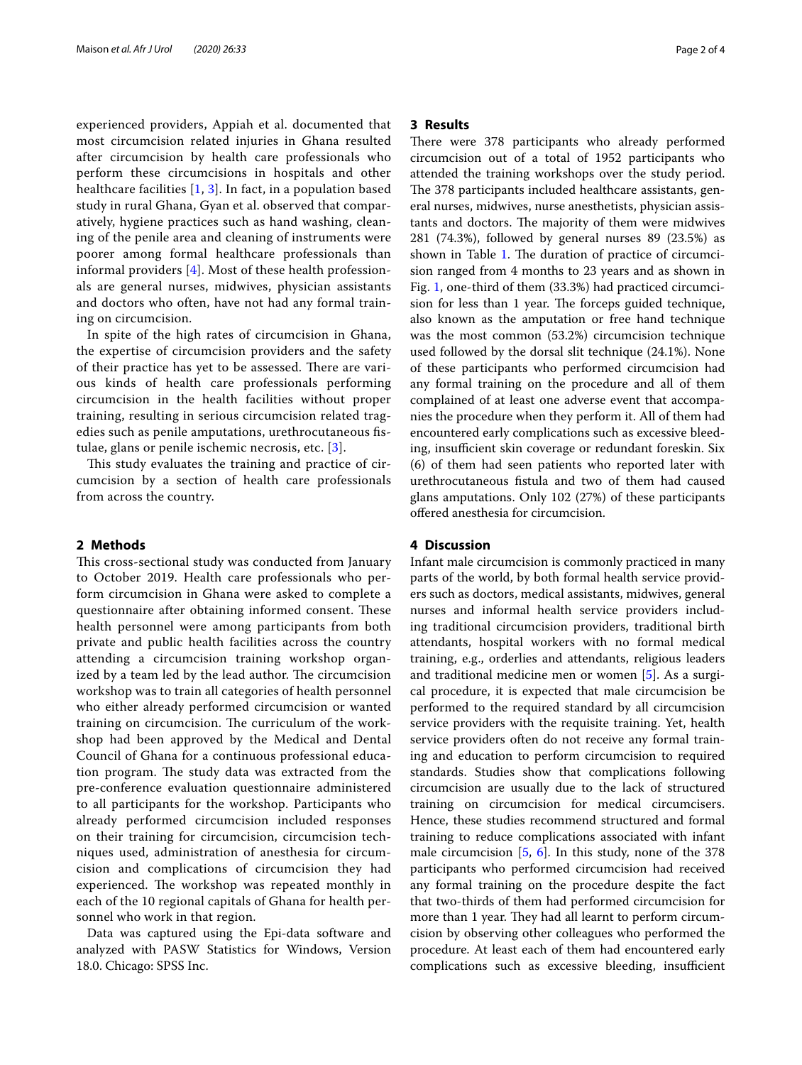experienced providers, Appiah et al. documented that most circumcision related injuries in Ghana resulted after circumcision by health care professionals who perform these circumcisions in hospitals and other healthcare facilities [\[1](#page-3-0), [3](#page-3-2)]. In fact, in a population based study in rural Ghana, Gyan et al. observed that comparatively, hygiene practices such as hand washing, cleaning of the penile area and cleaning of instruments were poorer among formal healthcare professionals than informal providers [\[4](#page-3-3)]. Most of these health professionals are general nurses, midwives, physician assistants and doctors who often, have not had any formal training on circumcision.

In spite of the high rates of circumcision in Ghana, the expertise of circumcision providers and the safety of their practice has yet to be assessed. There are various kinds of health care professionals performing circumcision in the health facilities without proper training, resulting in serious circumcision related tragedies such as penile amputations, urethrocutaneous fstulae, glans or penile ischemic necrosis, etc. [[3\]](#page-3-2).

This study evaluates the training and practice of circumcision by a section of health care professionals from across the country.

#### **2 Methods**

This cross-sectional study was conducted from January to October 2019. Health care professionals who perform circumcision in Ghana were asked to complete a questionnaire after obtaining informed consent. These health personnel were among participants from both private and public health facilities across the country attending a circumcision training workshop organized by a team led by the lead author. The circumcision workshop was to train all categories of health personnel who either already performed circumcision or wanted training on circumcision. The curriculum of the workshop had been approved by the Medical and Dental Council of Ghana for a continuous professional education program. The study data was extracted from the pre-conference evaluation questionnaire administered to all participants for the workshop. Participants who already performed circumcision included responses on their training for circumcision, circumcision techniques used, administration of anesthesia for circumcision and complications of circumcision they had experienced. The workshop was repeated monthly in each of the 10 regional capitals of Ghana for health personnel who work in that region.

Data was captured using the Epi-data software and analyzed with PASW Statistics for Windows, Version 18.0. Chicago: SPSS Inc.

#### **3 Results**

There were 378 participants who already performed circumcision out of a total of 1952 participants who attended the training workshops over the study period. The 378 participants included healthcare assistants, general nurses, midwives, nurse anesthetists, physician assistants and doctors. The majority of them were midwives 281 (74.3%), followed by general nurses 89 (23.5%) as shown in Table [1.](#page-2-0) The duration of practice of circumcision ranged from 4 months to 23 years and as shown in Fig. [1](#page-2-1), one-third of them (33.3%) had practiced circumcision for less than 1 year. The forceps guided technique, also known as the amputation or free hand technique was the most common (53.2%) circumcision technique used followed by the dorsal slit technique (24.1%). None of these participants who performed circumcision had any formal training on the procedure and all of them complained of at least one adverse event that accompanies the procedure when they perform it. All of them had encountered early complications such as excessive bleeding, insufficient skin coverage or redundant foreskin. Six (6) of them had seen patients who reported later with urethrocutaneous fstula and two of them had caused glans amputations. Only 102 (27%) of these participants ofered anesthesia for circumcision.

#### **4 Discussion**

Infant male circumcision is commonly practiced in many parts of the world, by both formal health service providers such as doctors, medical assistants, midwives, general nurses and informal health service providers including traditional circumcision providers, traditional birth attendants, hospital workers with no formal medical training, e.g., orderlies and attendants, religious leaders and traditional medicine men or women [[5\]](#page-3-4). As a surgical procedure, it is expected that male circumcision be performed to the required standard by all circumcision service providers with the requisite training. Yet, health service providers often do not receive any formal training and education to perform circumcision to required standards. Studies show that complications following circumcision are usually due to the lack of structured training on circumcision for medical circumcisers. Hence, these studies recommend structured and formal training to reduce complications associated with infant male circumcision  $[5, 6]$  $[5, 6]$  $[5, 6]$  $[5, 6]$ . In this study, none of the 378 participants who performed circumcision had received any formal training on the procedure despite the fact that two-thirds of them had performed circumcision for more than 1 year. They had all learnt to perform circumcision by observing other colleagues who performed the procedure. At least each of them had encountered early complications such as excessive bleeding, insufficient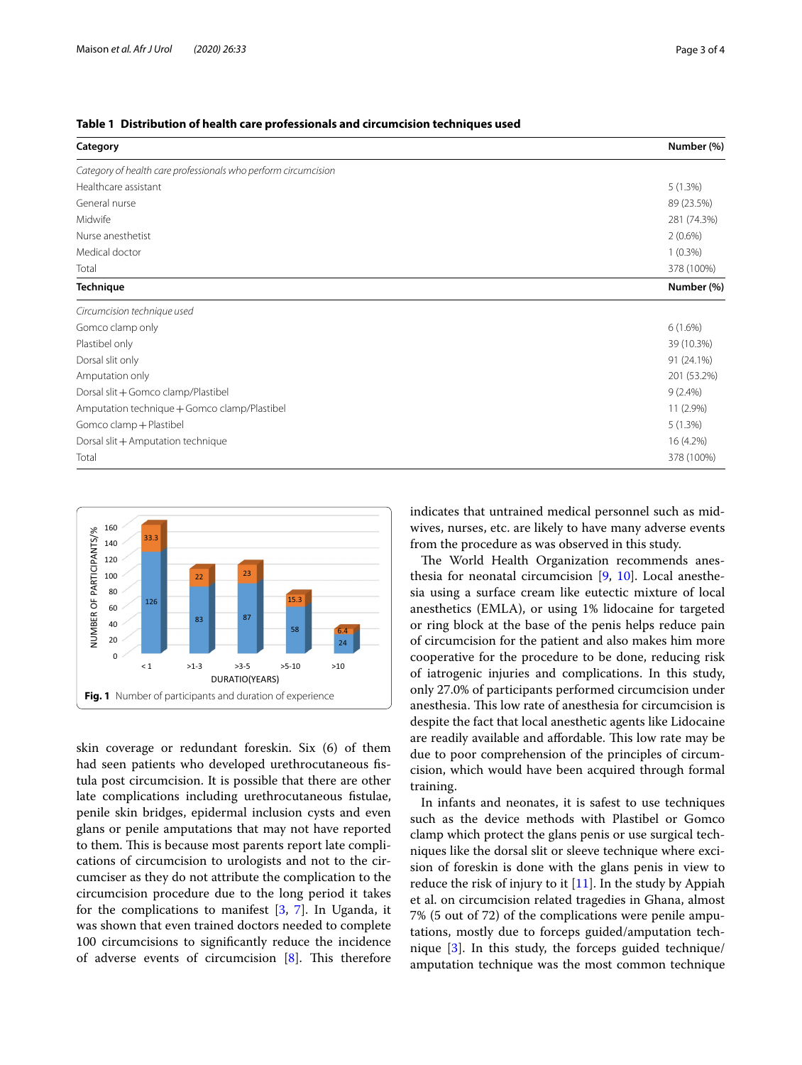<span id="page-2-0"></span>

| Category                                                       | Number (%)  |
|----------------------------------------------------------------|-------------|
| Category of health care professionals who perform circumcision |             |
| Healthcare assistant                                           | 5(1.3%)     |
| General nurse                                                  | 89 (23.5%)  |
| Midwife                                                        | 281 (74.3%) |
| Nurse anesthetist                                              | $2(0.6\%)$  |
| Medical doctor                                                 | $1(0.3\%)$  |
| Total                                                          | 378 (100%)  |
| <b>Technique</b>                                               | Number (%)  |
| Circumcision technique used                                    |             |
| Gomco clamp only                                               | $6(1.6\%)$  |
| Plastibel only                                                 | 39 (10.3%)  |
| Dorsal slit only                                               | 91 (24.1%)  |
| Amputation only                                                | 201 (53.2%) |
| Dorsal slit + Gomco clamp/Plastibel                            | $9(2.4\%)$  |
| Amputation technique + Gomco clamp/Plastibel                   | 11 (2.9%)   |
| Gomco clamp + Plastibel                                        | 5(1.3%)     |
| Dorsal slit + Amputation technique                             | 16 (4.2%)   |
| Total                                                          | 378 (100%)  |



<span id="page-2-1"></span>skin coverage or redundant foreskin. Six (6) of them had seen patients who developed urethrocutaneous fstula post circumcision. It is possible that there are other late complications including urethrocutaneous fstulae, penile skin bridges, epidermal inclusion cysts and even glans or penile amputations that may not have reported to them. This is because most parents report late complications of circumcision to urologists and not to the circumciser as they do not attribute the complication to the circumcision procedure due to the long period it takes for the complications to manifest [\[3](#page-3-2), [7\]](#page-3-6). In Uganda, it was shown that even trained doctors needed to complete 100 circumcisions to signifcantly reduce the incidence of adverse events of circumcision  $[8]$  $[8]$ . This therefore indicates that untrained medical personnel such as midwives, nurses, etc. are likely to have many adverse events from the procedure as was observed in this study.

The World Health Organization recommends anesthesia for neonatal circumcision [\[9](#page-3-8), [10](#page-3-9)]. Local anesthesia using a surface cream like eutectic mixture of local anesthetics (EMLA), or using 1% lidocaine for targeted or ring block at the base of the penis helps reduce pain of circumcision for the patient and also makes him more cooperative for the procedure to be done, reducing risk of iatrogenic injuries and complications. In this study, only 27.0% of participants performed circumcision under anesthesia. This low rate of anesthesia for circumcision is despite the fact that local anesthetic agents like Lidocaine are readily available and affordable. This low rate may be due to poor comprehension of the principles of circumcision, which would have been acquired through formal training.

In infants and neonates, it is safest to use techniques such as the device methods with Plastibel or Gomco clamp which protect the glans penis or use surgical techniques like the dorsal slit or sleeve technique where excision of foreskin is done with the glans penis in view to reduce the risk of injury to it  $[11]$  $[11]$ . In the study by Appiah et al. on circumcision related tragedies in Ghana, almost 7% (5 out of 72) of the complications were penile amputations, mostly due to forceps guided/amputation technique [\[3](#page-3-2)]. In this study, the forceps guided technique/ amputation technique was the most common technique